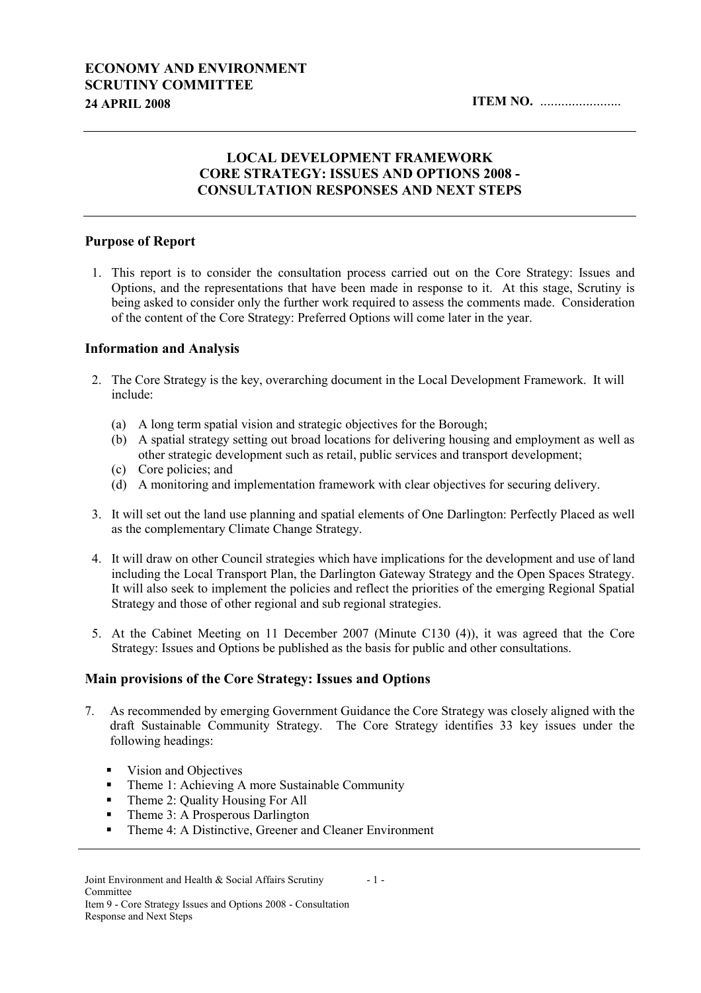# ECONOMY AND ENVIRONMENT SCRUTINY COMMITTEE 24 APRIL 2008 ITEM NO. .......................

### LOCAL DEVELOPMENT FRAMEWORK CORE STRATEGY: ISSUES AND OPTIONS 2008 - CONSULTATION RESPONSES AND NEXT STEPS

#### Purpose of Report

1. This report is to consider the consultation process carried out on the Core Strategy: Issues and Options, and the representations that have been made in response to it. At this stage, Scrutiny is being asked to consider only the further work required to assess the comments made. Consideration of the content of the Core Strategy: Preferred Options will come later in the year.

#### Information and Analysis

- 2. The Core Strategy is the key, overarching document in the Local Development Framework. It will include:
	- (a) A long term spatial vision and strategic objectives for the Borough;
	- (b) A spatial strategy setting out broad locations for delivering housing and employment as well as other strategic development such as retail, public services and transport development;
	- (c) Core policies; and
	- (d) A monitoring and implementation framework with clear objectives for securing delivery.
- 3. It will set out the land use planning and spatial elements of One Darlington: Perfectly Placed as well as the complementary Climate Change Strategy.
- 4. It will draw on other Council strategies which have implications for the development and use of land including the Local Transport Plan, the Darlington Gateway Strategy and the Open Spaces Strategy. It will also seek to implement the policies and reflect the priorities of the emerging Regional Spatial Strategy and those of other regional and sub regional strategies.
- 5. At the Cabinet Meeting on 11 December 2007 (Minute C130 (4)), it was agreed that the Core Strategy: Issues and Options be published as the basis for public and other consultations.

#### Main provisions of the Core Strategy: Issues and Options

- 7. As recommended by emerging Government Guidance the Core Strategy was closely aligned with the draft Sustainable Community Strategy. The Core Strategy identifies 33 key issues under the following headings:
	- Vision and Objectives
	- Theme 1: Achieving A more Sustainable Community
	- Theme 2: Quality Housing For All
	- Theme 3: A Prosperous Darlington
	- **Theme 4: A Distinctive, Greener and Cleaner Environment**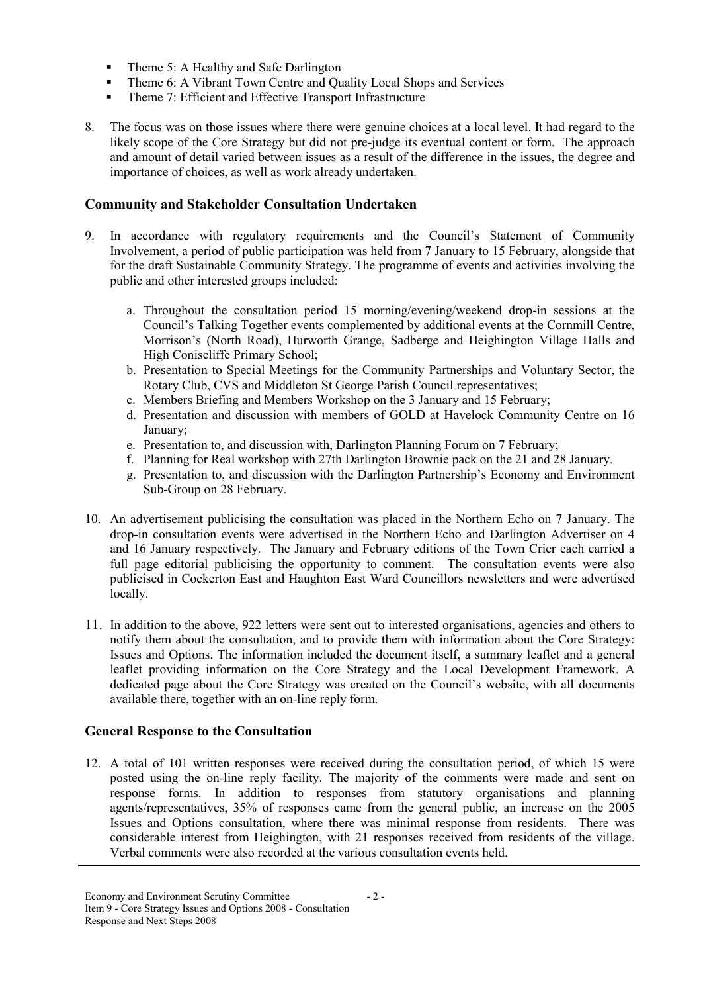- Theme 5: A Healthy and Safe Darlington
- Theme 6: A Vibrant Town Centre and Quality Local Shops and Services
- Theme 7: Efficient and Effective Transport Infrastructure
- 8. The focus was on those issues where there were genuine choices at a local level. It had regard to the likely scope of the Core Strategy but did not pre-judge its eventual content or form. The approach and amount of detail varied between issues as a result of the difference in the issues, the degree and importance of choices, as well as work already undertaken.

### Community and Stakeholder Consultation Undertaken

- 9. In accordance with regulatory requirements and the Council's Statement of Community Involvement, a period of public participation was held from 7 January to 15 February, alongside that for the draft Sustainable Community Strategy. The programme of events and activities involving the public and other interested groups included:
	- a. Throughout the consultation period 15 morning/evening/weekend drop-in sessions at the Council's Talking Together events complemented by additional events at the Cornmill Centre, Morrison's (North Road), Hurworth Grange, Sadberge and Heighington Village Halls and High Coniscliffe Primary School;
	- b. Presentation to Special Meetings for the Community Partnerships and Voluntary Sector, the Rotary Club, CVS and Middleton St George Parish Council representatives;
	- c. Members Briefing and Members Workshop on the 3 January and 15 February;
	- d. Presentation and discussion with members of GOLD at Havelock Community Centre on 16 January;
	- e. Presentation to, and discussion with, Darlington Planning Forum on 7 February;
	- f. Planning for Real workshop with 27th Darlington Brownie pack on the 21 and 28 January.
	- g. Presentation to, and discussion with the Darlington Partnership's Economy and Environment Sub-Group on 28 February.
- 10. An advertisement publicising the consultation was placed in the Northern Echo on 7 January. The drop-in consultation events were advertised in the Northern Echo and Darlington Advertiser on 4 and 16 January respectively. The January and February editions of the Town Crier each carried a full page editorial publicising the opportunity to comment. The consultation events were also publicised in Cockerton East and Haughton East Ward Councillors newsletters and were advertised locally.
- 11. In addition to the above, 922 letters were sent out to interested organisations, agencies and others to notify them about the consultation, and to provide them with information about the Core Strategy: Issues and Options. The information included the document itself, a summary leaflet and a general leaflet providing information on the Core Strategy and the Local Development Framework. A dedicated page about the Core Strategy was created on the Council's website, with all documents available there, together with an on-line reply form.

# General Response to the Consultation

12. A total of 101 written responses were received during the consultation period, of which 15 were posted using the on-line reply facility. The majority of the comments were made and sent on response forms. In addition to responses from statutory organisations and planning agents/representatives, 35% of responses came from the general public, an increase on the 2005 Issues and Options consultation, where there was minimal response from residents. There was considerable interest from Heighington, with 21 responses received from residents of the village. Verbal comments were also recorded at the various consultation events held.

- 2 -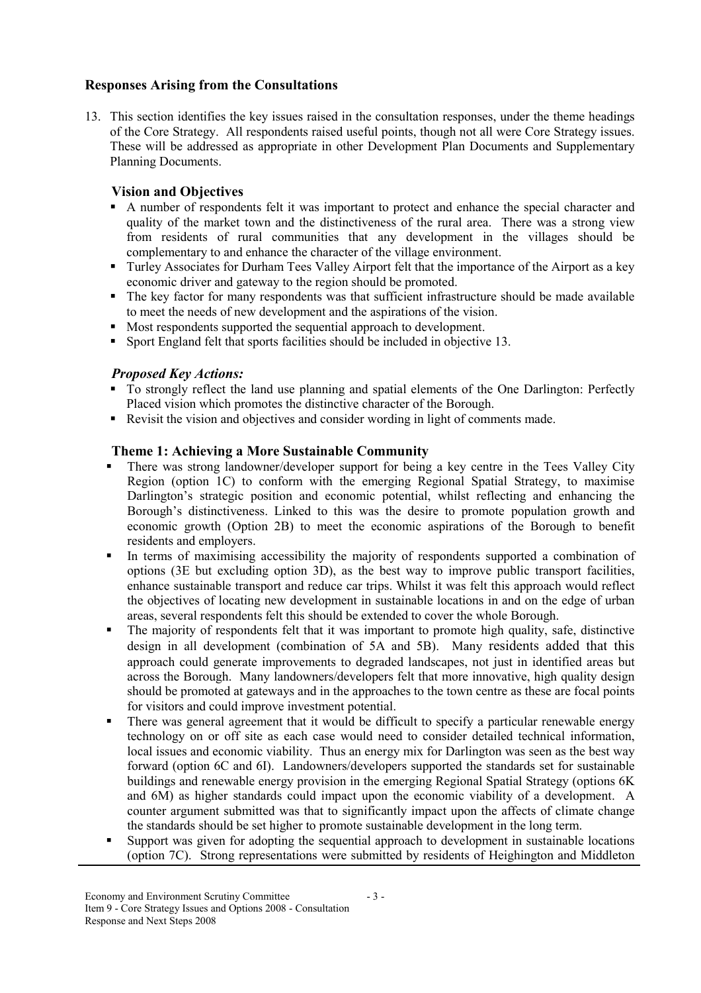### Responses Arising from the Consultations

13. This section identifies the key issues raised in the consultation responses, under the theme headings of the Core Strategy. All respondents raised useful points, though not all were Core Strategy issues. These will be addressed as appropriate in other Development Plan Documents and Supplementary Planning Documents.

## Vision and Objectives

- A number of respondents felt it was important to protect and enhance the special character and quality of the market town and the distinctiveness of the rural area. There was a strong view from residents of rural communities that any development in the villages should be complementary to and enhance the character of the village environment.
- **Turley Associates for Durham Tees Valley Airport felt that the importance of the Airport as a key** economic driver and gateway to the region should be promoted.
- The key factor for many respondents was that sufficient infrastructure should be made available to meet the needs of new development and the aspirations of the vision.
- Most respondents supported the sequential approach to development.
- Sport England felt that sports facilities should be included in objective 13.

#### Proposed Key Actions:

- To strongly reflect the land use planning and spatial elements of the One Darlington: Perfectly Placed vision which promotes the distinctive character of the Borough.
- Revisit the vision and objectives and consider wording in light of comments made.

#### Theme 1: Achieving a More Sustainable Community

- There was strong landowner/developer support for being a key centre in the Tees Valley City Region (option 1C) to conform with the emerging Regional Spatial Strategy, to maximise Darlington's strategic position and economic potential, whilst reflecting and enhancing the Borough's distinctiveness. Linked to this was the desire to promote population growth and economic growth (Option 2B) to meet the economic aspirations of the Borough to benefit residents and employers.
- In terms of maximising accessibility the majority of respondents supported a combination of options (3E but excluding option 3D), as the best way to improve public transport facilities, enhance sustainable transport and reduce car trips. Whilst it was felt this approach would reflect the objectives of locating new development in sustainable locations in and on the edge of urban areas, several respondents felt this should be extended to cover the whole Borough.
- The majority of respondents felt that it was important to promote high quality, safe, distinctive design in all development (combination of 5A and 5B). Many residents added that this approach could generate improvements to degraded landscapes, not just in identified areas but across the Borough. Many landowners/developers felt that more innovative, high quality design should be promoted at gateways and in the approaches to the town centre as these are focal points for visitors and could improve investment potential.
- There was general agreement that it would be difficult to specify a particular renewable energy technology on or off site as each case would need to consider detailed technical information, local issues and economic viability. Thus an energy mix for Darlington was seen as the best way forward (option 6C and 6I). Landowners/developers supported the standards set for sustainable buildings and renewable energy provision in the emerging Regional Spatial Strategy (options 6K and 6M) as higher standards could impact upon the economic viability of a development. A counter argument submitted was that to significantly impact upon the affects of climate change the standards should be set higher to promote sustainable development in the long term.
- Support was given for adopting the sequential approach to development in sustainable locations (option 7C). Strong representations were submitted by residents of Heighington and Middleton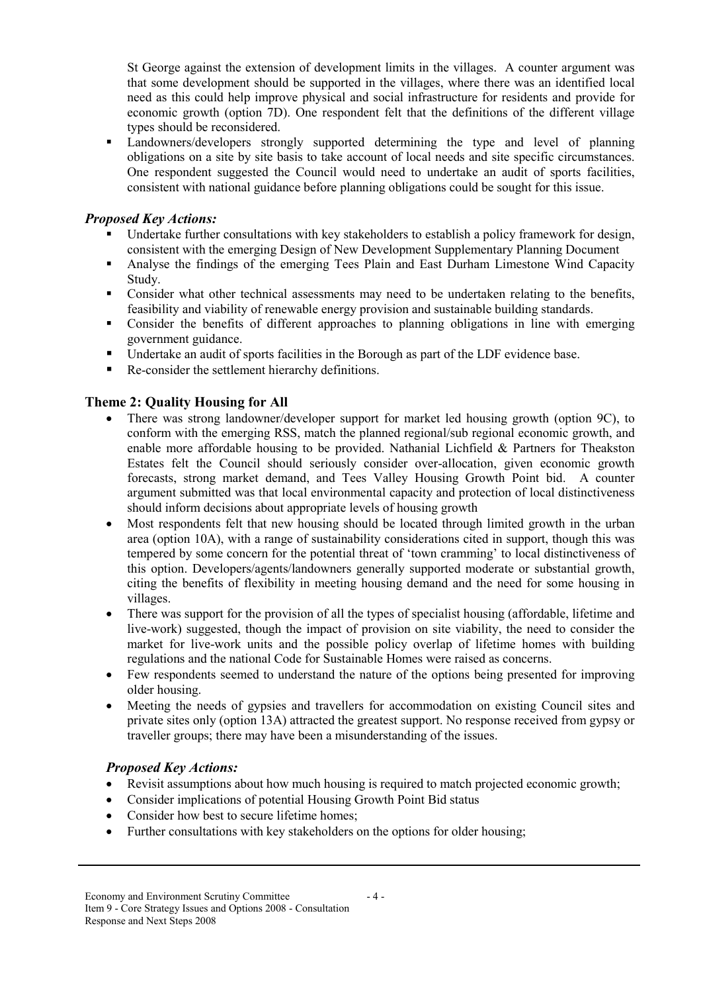St George against the extension of development limits in the villages. A counter argument was that some development should be supported in the villages, where there was an identified local need as this could help improve physical and social infrastructure for residents and provide for economic growth (option 7D). One respondent felt that the definitions of the different village types should be reconsidered.

 Landowners/developers strongly supported determining the type and level of planning obligations on a site by site basis to take account of local needs and site specific circumstances. One respondent suggested the Council would need to undertake an audit of sports facilities, consistent with national guidance before planning obligations could be sought for this issue.

## Proposed Key Actions:

- Undertake further consultations with key stakeholders to establish a policy framework for design, consistent with the emerging Design of New Development Supplementary Planning Document
- Analyse the findings of the emerging Tees Plain and East Durham Limestone Wind Capacity Study.
- Consider what other technical assessments may need to be undertaken relating to the benefits, feasibility and viability of renewable energy provision and sustainable building standards.
- Consider the benefits of different approaches to planning obligations in line with emerging government guidance.
- Undertake an audit of sports facilities in the Borough as part of the LDF evidence base.
- Re-consider the settlement hierarchy definitions.

# Theme 2: Quality Housing for All

- There was strong landowner/developer support for market led housing growth (option 9C), to conform with the emerging RSS, match the planned regional/sub regional economic growth, and enable more affordable housing to be provided. Nathanial Lichfield & Partners for Theakston Estates felt the Council should seriously consider over-allocation, given economic growth forecasts, strong market demand, and Tees Valley Housing Growth Point bid. A counter argument submitted was that local environmental capacity and protection of local distinctiveness should inform decisions about appropriate levels of housing growth
- Most respondents felt that new housing should be located through limited growth in the urban area (option 10A), with a range of sustainability considerations cited in support, though this was tempered by some concern for the potential threat of 'town cramming' to local distinctiveness of this option. Developers/agents/landowners generally supported moderate or substantial growth, citing the benefits of flexibility in meeting housing demand and the need for some housing in villages.
- There was support for the provision of all the types of specialist housing (affordable, lifetime and live-work) suggested, though the impact of provision on site viability, the need to consider the market for live-work units and the possible policy overlap of lifetime homes with building regulations and the national Code for Sustainable Homes were raised as concerns.
- Few respondents seemed to understand the nature of the options being presented for improving older housing.
- Meeting the needs of gypsies and travellers for accommodation on existing Council sites and private sites only (option 13A) attracted the greatest support. No response received from gypsy or traveller groups; there may have been a misunderstanding of the issues.

#### Proposed Key Actions:

• Revisit assumptions about how much housing is required to match projected economic growth;

 $-4-$ 

- Consider implications of potential Housing Growth Point Bid status
- Consider how best to secure lifetime homes;
- Further consultations with key stakeholders on the options for older housing;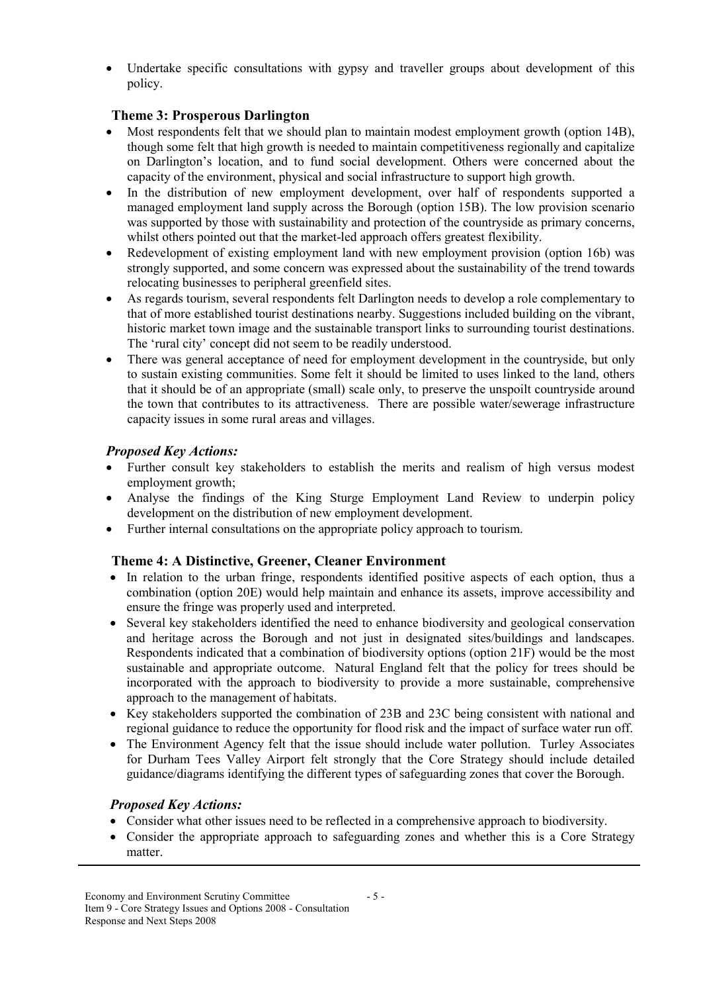Undertake specific consultations with gypsy and traveller groups about development of this policy.

## Theme 3: Prosperous Darlington

- Most respondents felt that we should plan to maintain modest employment growth (option 14B), though some felt that high growth is needed to maintain competitiveness regionally and capitalize on Darlington's location, and to fund social development. Others were concerned about the capacity of the environment, physical and social infrastructure to support high growth.
- In the distribution of new employment development, over half of respondents supported a managed employment land supply across the Borough (option 15B). The low provision scenario was supported by those with sustainability and protection of the countryside as primary concerns, whilst others pointed out that the market-led approach offers greatest flexibility.
- Redevelopment of existing employment land with new employment provision (option 16b) was strongly supported, and some concern was expressed about the sustainability of the trend towards relocating businesses to peripheral greenfield sites.
- As regards tourism, several respondents felt Darlington needs to develop a role complementary to that of more established tourist destinations nearby. Suggestions included building on the vibrant, historic market town image and the sustainable transport links to surrounding tourist destinations. The 'rural city' concept did not seem to be readily understood.
- There was general acceptance of need for employment development in the countryside, but only to sustain existing communities. Some felt it should be limited to uses linked to the land, others that it should be of an appropriate (small) scale only, to preserve the unspoilt countryside around the town that contributes to its attractiveness. There are possible water/sewerage infrastructure capacity issues in some rural areas and villages.

### Proposed Key Actions:

- Further consult key stakeholders to establish the merits and realism of high versus modest employment growth;
- Analyse the findings of the King Sturge Employment Land Review to underpin policy development on the distribution of new employment development.
- Further internal consultations on the appropriate policy approach to tourism.

#### Theme 4: A Distinctive, Greener, Cleaner Environment

- In relation to the urban fringe, respondents identified positive aspects of each option, thus a combination (option 20E) would help maintain and enhance its assets, improve accessibility and ensure the fringe was properly used and interpreted.
- Several key stakeholders identified the need to enhance biodiversity and geological conservation and heritage across the Borough and not just in designated sites/buildings and landscapes. Respondents indicated that a combination of biodiversity options (option 21F) would be the most sustainable and appropriate outcome. Natural England felt that the policy for trees should be incorporated with the approach to biodiversity to provide a more sustainable, comprehensive approach to the management of habitats.
- Key stakeholders supported the combination of 23B and 23C being consistent with national and regional guidance to reduce the opportunity for flood risk and the impact of surface water run off.
- The Environment Agency felt that the issue should include water pollution. Turley Associates for Durham Tees Valley Airport felt strongly that the Core Strategy should include detailed guidance/diagrams identifying the different types of safeguarding zones that cover the Borough.

#### Proposed Key Actions:

- Consider what other issues need to be reflected in a comprehensive approach to biodiversity.
- Consider the appropriate approach to safeguarding zones and whether this is a Core Strategy matter.

- 5 -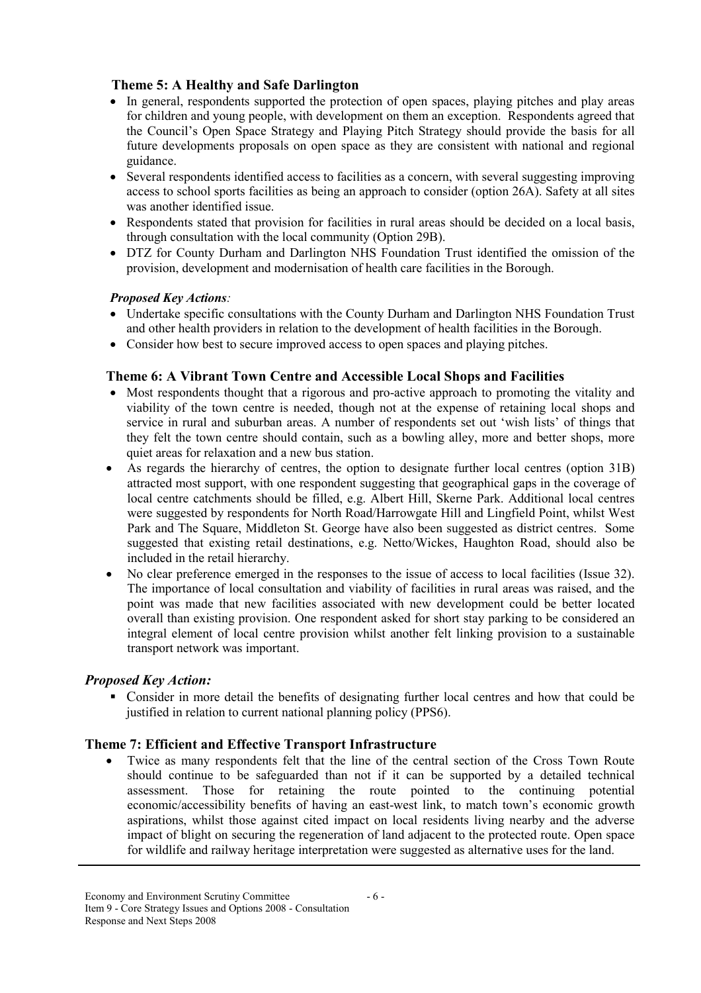### Theme 5: A Healthy and Safe Darlington

- In general, respondents supported the protection of open spaces, playing pitches and play areas for children and young people, with development on them an exception. Respondents agreed that the Council's Open Space Strategy and Playing Pitch Strategy should provide the basis for all future developments proposals on open space as they are consistent with national and regional guidance.
- Several respondents identified access to facilities as a concern, with several suggesting improving access to school sports facilities as being an approach to consider (option 26A). Safety at all sites was another identified issue.
- Respondents stated that provision for facilities in rural areas should be decided on a local basis, through consultation with the local community (Option 29B).
- DTZ for County Durham and Darlington NHS Foundation Trust identified the omission of the provision, development and modernisation of health care facilities in the Borough.

#### Proposed Key Actions:

- Undertake specific consultations with the County Durham and Darlington NHS Foundation Trust and other health providers in relation to the development of health facilities in the Borough.
- Consider how best to secure improved access to open spaces and playing pitches.

### Theme 6: A Vibrant Town Centre and Accessible Local Shops and Facilities

- Most respondents thought that a rigorous and pro-active approach to promoting the vitality and viability of the town centre is needed, though not at the expense of retaining local shops and service in rural and suburban areas. A number of respondents set out 'wish lists' of things that they felt the town centre should contain, such as a bowling alley, more and better shops, more quiet areas for relaxation and a new bus station.
- As regards the hierarchy of centres, the option to designate further local centres (option 31B) attracted most support, with one respondent suggesting that geographical gaps in the coverage of local centre catchments should be filled, e.g. Albert Hill, Skerne Park. Additional local centres were suggested by respondents for North Road/Harrowgate Hill and Lingfield Point, whilst West Park and The Square, Middleton St. George have also been suggested as district centres. Some suggested that existing retail destinations, e.g. Netto/Wickes, Haughton Road, should also be included in the retail hierarchy.
- No clear preference emerged in the responses to the issue of access to local facilities (Issue 32). The importance of local consultation and viability of facilities in rural areas was raised, and the point was made that new facilities associated with new development could be better located overall than existing provision. One respondent asked for short stay parking to be considered an integral element of local centre provision whilst another felt linking provision to a sustainable transport network was important.

#### Proposed Key Action:

 Consider in more detail the benefits of designating further local centres and how that could be justified in relation to current national planning policy (PPS6).

#### Theme 7: Efficient and Effective Transport Infrastructure

• Twice as many respondents felt that the line of the central section of the Cross Town Route should continue to be safeguarded than not if it can be supported by a detailed technical assessment. Those for retaining the route pointed to the continuing potential economic/accessibility benefits of having an east-west link, to match town's economic growth aspirations, whilst those against cited impact on local residents living nearby and the adverse impact of blight on securing the regeneration of land adjacent to the protected route. Open space for wildlife and railway heritage interpretation were suggested as alternative uses for the land.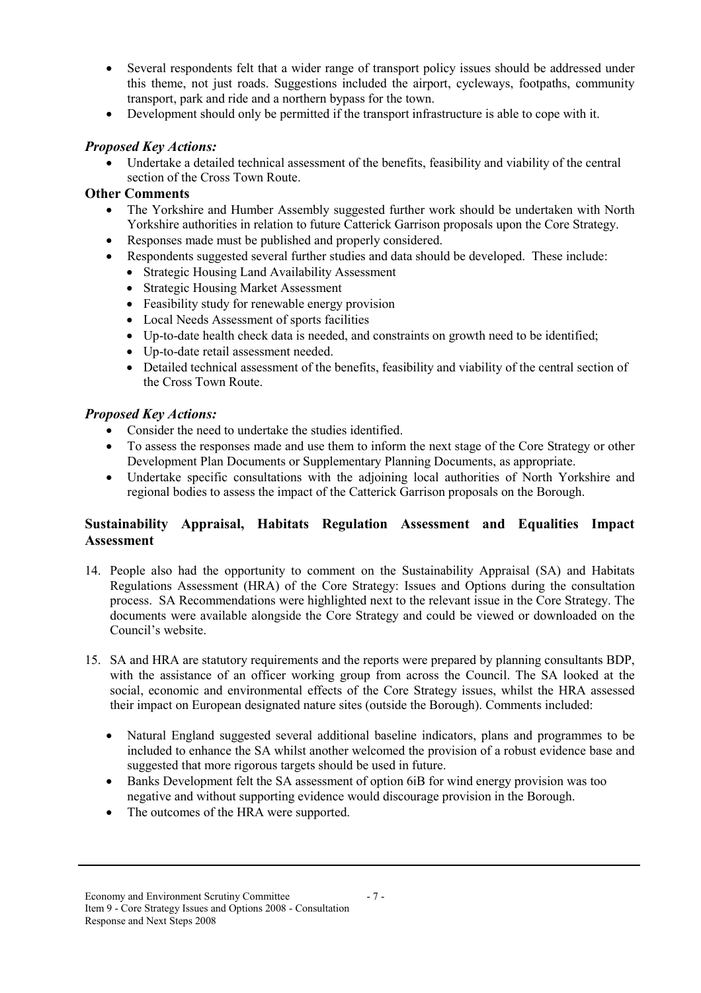- Several respondents felt that a wider range of transport policy issues should be addressed under this theme, not just roads. Suggestions included the airport, cycleways, footpaths, community transport, park and ride and a northern bypass for the town.
- Development should only be permitted if the transport infrastructure is able to cope with it.

### Proposed Key Actions:

• Undertake a detailed technical assessment of the benefits, feasibility and viability of the central section of the Cross Town Route.

### Other Comments

- The Yorkshire and Humber Assembly suggested further work should be undertaken with North Yorkshire authorities in relation to future Catterick Garrison proposals upon the Core Strategy.
- Responses made must be published and properly considered.
- Respondents suggested several further studies and data should be developed. These include:
	- Strategic Housing Land Availability Assessment
	- Strategic Housing Market Assessment
	- Feasibility study for renewable energy provision
	- Local Needs Assessment of sports facilities
	- Up-to-date health check data is needed, and constraints on growth need to be identified:
	- Up-to-date retail assessment needed.
	- Detailed technical assessment of the benefits, feasibility and viability of the central section of the Cross Town Route.

### Proposed Key Actions:

- Consider the need to undertake the studies identified.
- To assess the responses made and use them to inform the next stage of the Core Strategy or other Development Plan Documents or Supplementary Planning Documents, as appropriate.
- Undertake specific consultations with the adjoining local authorities of North Yorkshire and regional bodies to assess the impact of the Catterick Garrison proposals on the Borough.

# Sustainability Appraisal, Habitats Regulation Assessment and Equalities Impact Assessment

- 14. People also had the opportunity to comment on the Sustainability Appraisal (SA) and Habitats Regulations Assessment (HRA) of the Core Strategy: Issues and Options during the consultation process. SA Recommendations were highlighted next to the relevant issue in the Core Strategy. The documents were available alongside the Core Strategy and could be viewed or downloaded on the Council's website.
- 15. SA and HRA are statutory requirements and the reports were prepared by planning consultants BDP, with the assistance of an officer working group from across the Council. The SA looked at the social, economic and environmental effects of the Core Strategy issues, whilst the HRA assessed their impact on European designated nature sites (outside the Borough). Comments included:
	- Natural England suggested several additional baseline indicators, plans and programmes to be included to enhance the SA whilst another welcomed the provision of a robust evidence base and suggested that more rigorous targets should be used in future.

- 7 -

- Banks Development felt the SA assessment of option 6iB for wind energy provision was too negative and without supporting evidence would discourage provision in the Borough.
- The outcomes of the HRA were supported.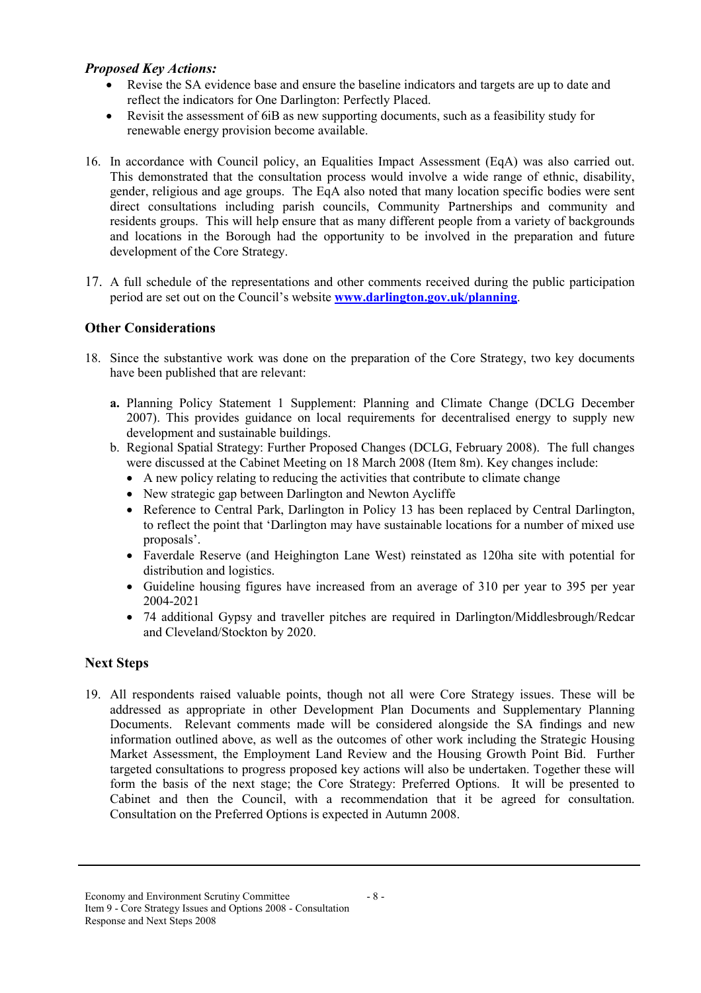### Proposed Key Actions:

- Revise the SA evidence base and ensure the baseline indicators and targets are up to date and reflect the indicators for One Darlington: Perfectly Placed.
- Revisit the assessment of 6iB as new supporting documents, such as a feasibility study for renewable energy provision become available.
- 16. In accordance with Council policy, an Equalities Impact Assessment (EqA) was also carried out. This demonstrated that the consultation process would involve a wide range of ethnic, disability, gender, religious and age groups. The EqA also noted that many location specific bodies were sent direct consultations including parish councils, Community Partnerships and community and residents groups. This will help ensure that as many different people from a variety of backgrounds and locations in the Borough had the opportunity to be involved in the preparation and future development of the Core Strategy.
- 17. A full schedule of the representations and other comments received during the public participation period are set out on the Council's website www.darlington.gov.uk/planning.

# Other Considerations

- 18. Since the substantive work was done on the preparation of the Core Strategy, two key documents have been published that are relevant:
	- a. Planning Policy Statement 1 Supplement: Planning and Climate Change (DCLG December 2007). This provides guidance on local requirements for decentralised energy to supply new development and sustainable buildings.
	- b. Regional Spatial Strategy: Further Proposed Changes (DCLG, February 2008). The full changes were discussed at the Cabinet Meeting on 18 March 2008 (Item 8m). Key changes include:
		- A new policy relating to reducing the activities that contribute to climate change
		- New strategic gap between Darlington and Newton Aycliffe
		- Reference to Central Park, Darlington in Policy 13 has been replaced by Central Darlington, to reflect the point that 'Darlington may have sustainable locations for a number of mixed use proposals'.
		- Faverdale Reserve (and Heighington Lane West) reinstated as 120ha site with potential for distribution and logistics.
		- Guideline housing figures have increased from an average of 310 per year to 395 per year 2004-2021
		- 74 additional Gypsy and traveller pitches are required in Darlington/Middlesbrough/Redcar and Cleveland/Stockton by 2020.

#### Next Steps

19. All respondents raised valuable points, though not all were Core Strategy issues. These will be addressed as appropriate in other Development Plan Documents and Supplementary Planning Documents. Relevant comments made will be considered alongside the SA findings and new information outlined above, as well as the outcomes of other work including the Strategic Housing Market Assessment, the Employment Land Review and the Housing Growth Point Bid. Further targeted consultations to progress proposed key actions will also be undertaken. Together these will form the basis of the next stage; the Core Strategy: Preferred Options. It will be presented to Cabinet and then the Council, with a recommendation that it be agreed for consultation. Consultation on the Preferred Options is expected in Autumn 2008.

- 8 -